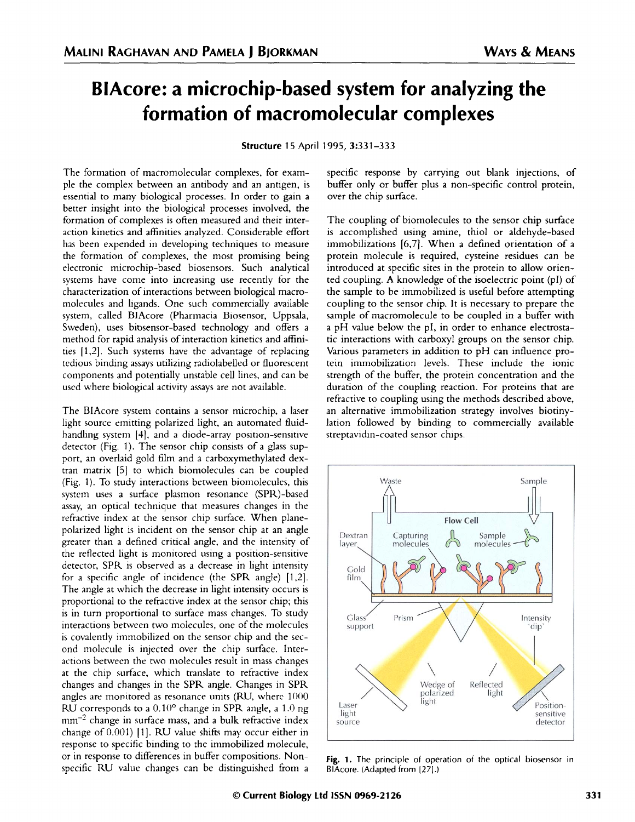## **BlAcore: a microchip-based system for analyzing the formation of macromolecular complexes**

**Structure 15** April 1995, 3:331-333

The formation of macromolecular complexes, for example the complex between an antibody and an antigen, is essential to many biological processes. In order to gain a better insight into the biological processes involved, the formation of complexes is often measured and their interaction kinetics and affinities analyzed. Considerable effort has been expended in developing techniques to measure the formation of complexes, the most promising being electronic microchip-based biosensors. Such analytical systems have come into increasing use recently for the characterization of interactions between biological macromolecules and ligands. One such commercially available system, called BlAcore (Pharmacia Biosensor, Uppsala, Sweden), uses bitsensor-based technology and offers a method for rapid analysis of interaction kinetics and affinities 11,2]. Such systems have the advantage of replacing tedious binding assays utilizing radiolabelled or fluorescent components and potentially unstable cell lines, and can be used where biological activity assays are not available.

The BlAcore system contains a sensor microchip, a laser light source emitting polarized light, an automated fluidhandling system [41, and a diode-array position-sensitive detector (Fig. 1). The sensor chip consists of a glass support, an overlaid gold film and a carboxymethylated dextran matrix [51 to which biomolecules can be coupled (Fig. 1). To study interactions between biomolecules, this system uses a surface plasmon resonance (SPR)-based assay, an optical technique that measures changes in the refractive index at the sensor chip surface. When planepolarized light is incident on the sensor chip at an angle greater than a defined critical angle, and the intensity of the reflected light is monitored using a position-sensitive detector, SPR is observed as a decrease in light intensity for a specific angle of incidence (the SPR angle) [1,21. The angle at which the decrease in light intensity occurs is proportional to the refractive index at the sensor chip; this is in turn proportional to surface mass changes. To study interactions between two molecules, one of the molecules is covalently immobilized on the sensor chip and the second molecule is injected over the chip surface. Interactions between the two molecules result in mass changes at the chip surface, which translate to refractive index changes and changes in the SPR angle. Changes in SPR angles are monitored as resonance units (RU, where 1000 RU corresponds to a  $0.10^{\circ}$  change in SPR angle, a 1.0 ng mm<sup>-2</sup> change in surface mass, and a bulk refractive index change of 0.001) 11]. RU value shifts may occur either in response to specific binding to the immobilized molecule, or in response to differences in buffer compositions. Nonspecific RU value changes can be distinguished from a

specific response by carrying out blank injections, of buffer only or buffer plus a non-specific control protein, over the chip surface.

The coupling of biomolecules to the sensor chip surface is accomplished using amine, thiol or aldehyde-based immobilizations [6,7]. When a defined orientation of a protein molecule is required, cysteine residues can be introduced at specific sites in the protein to allow oriented coupling. A knowledge of the isoelectric point (pl) of the sample to be immobilized is useful before attempting coupling to the sensor chip. It is necessary to prepare the sample of macromolecule to be coupled in a buffer with a pH value below the pI, in order to enhance electrostatic interactions with carboxyl groups on the sensor chip. Various parameters in addition to pH can influence protein immobilization levels. These include the ionic strength of the buffer, the protein concentration and the duration of the coupling reaction. For proteins that are refractive to coupling using the methods described above, an alternative immobilization strategy involves biotinylation followed by binding to commercially available streptavidin-coated sensor chips.



**Fig. 1.** The principle of operation of the optical biosensor in BlAcore. (Adapted from [27].)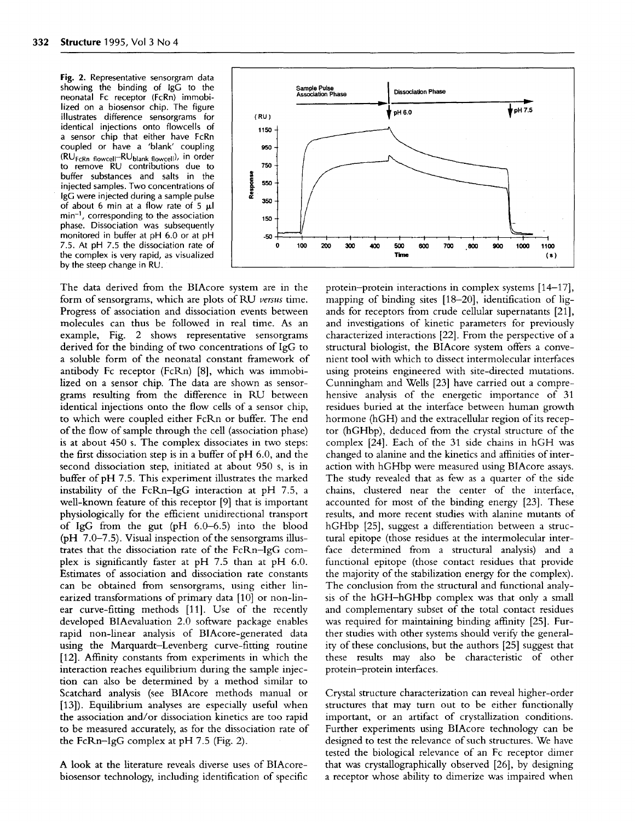**Fig. 2.** Representative sensorgram data showing the binding of IgG to the neonatal Fc receptor (FcRn) immobilized on a biosensor chip. The figure illustrates difference sensorgrams for identical injections onto flowcells of a sensor chip that either have FcRn coupled or have a 'blank' coupling (RUFcRn **flowcell-RUblank flowcell),** in order to remove RU contributions due to buffer substances and salts in the injected samples. Two concentrations of IgG were injected during a sample pulse of about 6 min at a flow rate of 5 **<sup>1</sup> l**  $min^{-1}$ , corresponding to the association phase. Dissociation was subsequently monitored in buffer at pH 6.0 or at pH 7.5. At pH 7.5 the dissociation rate of the complex is very rapid, as visualized by the steep change in RU.

The data derived from the BlAcore system are in the form of sensorgrams, which are plots of RU *versus* time. Progress of association and dissociation events between molecules can thus be followed in real time. As an example, Fig. 2 shows representative sensorgrams derived for the binding of two concentrations of IgG to a soluble form of the neonatal constant framework of antibody Fc receptor (FcRn) [8], which was immobilized on a sensor chip. The data are shown as sensorgrams resulting from the difference in RU between identical injections onto the flow cells of a sensor chip, to which were coupled either FcRn or buffer. The end of the flow of sample through the cell (association phase) is at about 450 s. The complex dissociates in two steps: the first dissociation step is in a buffer of pH 6.0, and the second dissociation step, initiated at about 950 s, is in buffer of pH 7.5. This experiment illustrates the marked instability of the FcRn-IgG interaction at pH 7.5, a well-known feature of this receptor [9] that is important physiologically for the efficient unidirectional transport of IgG from the gut (pH 6.0-6.5) into the blood (pH 7.0-7.5). Visual inspection of the sensorgrams illustrates that the dissociation rate of the FcRn-IgG complex is significantly faster at pH 7.5 than at pH 6.0. Estimates of association and dissociation rate constants can be obtained from sensorgrams, using either linearized transformations of primary data [10] or non-linear curve-fitting methods [11]. Use of the recently developed BlAevaluation 2.0 software package enables rapid non-linear analysis of BlAcore-generated data using the Marquardt-Levenberg curve-fitting routine [12]. Affinity constants from experiments in which the interaction reaches equilibrium during the sample injection can also be determined by a method similar to Scatchard analysis (see BlAcore methods manual or [13]). Equilibrium analyses are especially useful when the association and/or dissociation kinetics are too rapid to be measured accurately, as for the dissociation rate of the FcRn-IgG complex at pH 7.5 (Fig. 2).

A look at the literature reveals diverse uses of BlAcorebiosensor technology, including identification of specific



protein-protein interactions in complex systems [14-17], mapping of binding sites [18-20], identification of ligands for receptors from crude cellular supernatants [21], and investigations of kinetic parameters for previously characterized interactions [22]. From the perspective of a structural biologist, the BIAcore system offers a convenient tool with which to dissect intermolecular interfaces using proteins engineered with site-directed mutations. Cunningham and Wells [23] have carried out a comprehensive analysis of the energetic importance of 31 residues buried at the interface between human growth hormone (hGH) and the extracellular region of its receptor (hGHbp), deduced from the crystal structure of the complex [24]. Each of the 31 side chains in hGH was changed to alanine and the kinetics and affinities of interaction with hGHbp were measured using BlAcore assays. The study revealed that as few as a quarter of the side chains, clustered near the center of the interface, accounted for most of the binding energy [23]. These results, and more recent studies with alanine mutants of hGHbp [25], suggest a differentiation between a structural epitope (those residues at the intermolecular interface determined from a structural analysis) and a functional epitope (those contact residues that provide the majority of the stabilization energy for the complex). The conclusion from the structural and functional analysis of the hGH-hGHbp complex was that only a small and complementary subset of the total contact residues was required for maintaining binding affinity [25]. Further studies with other systems should verify the generality of these conclusions, but the authors [25] suggest that these results may also be characteristic of other protein-protein interfaces.

Crystal structure characterization can reveal higher-order structures that may turn out to be either functionally important, or an artifact of crystallization conditions. Further experiments using BlAcore technology can be designed to test the relevance of such structures. We have tested the biological relevance of an Fc receptor dimer that was crystallographically observed [26], by designing a receptor whose ability to dimerize was impaired when